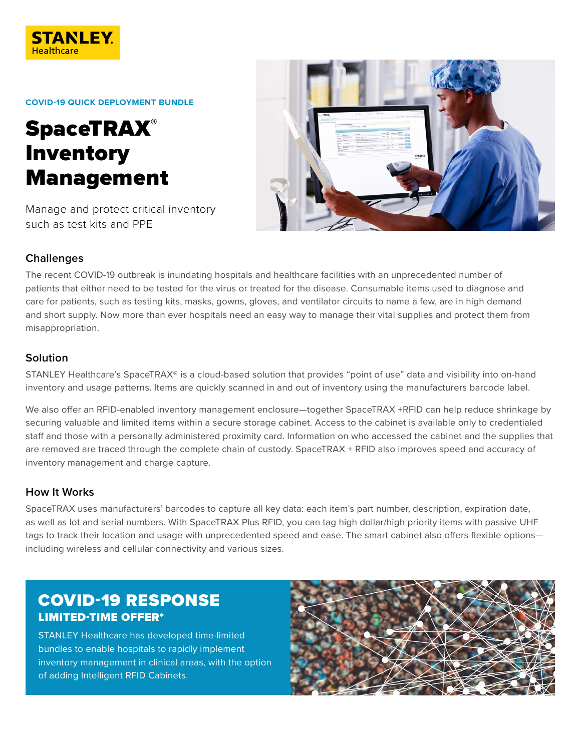

#### **COVID-19 QUICK DEPLOYMENT BUNDLE**

# **SpaceTRAX®** Inventory Management

Manage and protect critical inventory such as test kits and PPE



## **Challenges**

The recent COVID-19 outbreak is inundating hospitals and healthcare facilities with an unprecedented number of patients that either need to be tested for the virus or treated for the disease. Consumable items used to diagnose and care for patients, such as testing kits, masks, gowns, gloves, and ventilator circuits to name a few, are in high demand and short supply. Now more than ever hospitals need an easy way to manage their vital supplies and protect them from misappropriation.

### **Solution**

STANLEY Healthcare's SpaceTRAX® is a cloud-based solution that provides "point of use" data and visibility into on-hand inventory and usage patterns. Items are quickly scanned in and out of inventory using the manufacturers barcode label.

We also offer an RFID-enabled inventory management enclosure—together SpaceTRAX +RFID can help reduce shrinkage by securing valuable and limited items within a secure storage cabinet. Access to the cabinet is available only to credentialed staff and those with a personally administered proximity card. Information on who accessed the cabinet and the supplies that are removed are traced through the complete chain of custody. SpaceTRAX + RFID also improves speed and accuracy of inventory management and charge capture.

#### **How It Works**

SpaceTRAX uses manufacturers' barcodes to capture all key data: each item's part number, description, expiration date, as well as lot and serial numbers. With SpaceTRAX Plus RFID, you can tag high dollar/high priority items with passive UHF tags to track their location and usage with unprecedented speed and ease. The smart cabinet also offers flexible options including wireless and cellular connectivity and various sizes.

# COVID-19 RESPONSE LIMITED-TIME OFFER\*

STANLEY Healthcare has developed time-limited bundles to enable hospitals to rapidly implement inventory management in clinical areas, with the option of adding Intelligent RFID Cabinets.